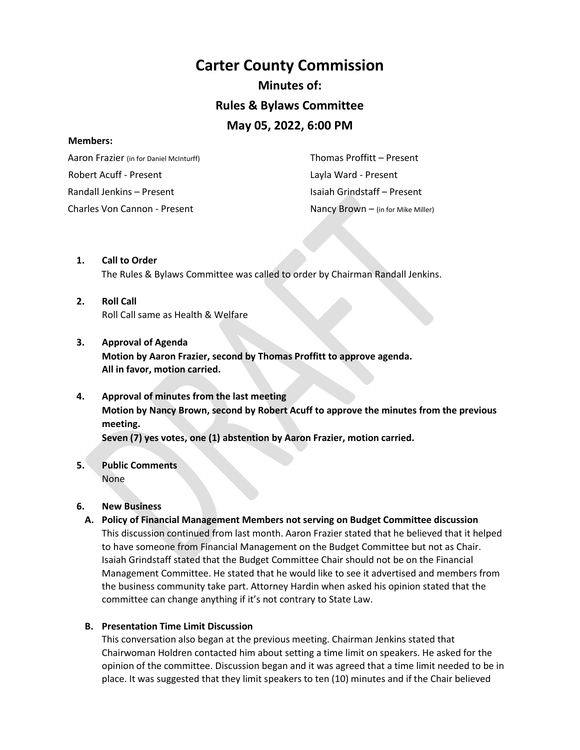# **Carter County Commission Minutes of: Rules & Bylaws Committee May 05, 2022, 6:00 PM**

#### **Members:**

 Aaron Frazier (in for Daniel McInturff) Robert Acuff - Present Randall Jenkins – Present Charles Von Cannon - Present Nancy Brown – (in for Mike Miller)

 Thomas Proffitt – Present Layla Ward - Present Isaiah Grindstaff – Present

- **1. Call to Order**  The Rules & Bylaws Committee was called to order by Chairman Randall Jenkins.
- **2. Roll Call**  Roll Call same as Health & Welfare
- **3. Approval of Agenda**

**Motion by Aaron Frazier, second by Thomas Proffitt to approve agenda. All in favor, motion carried.** 

## **4. Approval of minutes from the last meeting Motion by Nancy Brown, second by Robert Acuff to approve the minutes from the previous meeting.**

**Seven (7) yes votes, one (1) abstention by Aaron Frazier, motion carried.** 

**5. Public Comments**  None

### **6. New Business**

**A. Policy of Financial Management Members not serving on Budget Committee discussion** This discussion continued from last month. Aaron Frazier stated that he believed that it helped to have someone from Financial Management on the Budget Committee but not as Chair. Isaiah Grindstaff stated that the Budget Committee Chair should not be on the Financial Management Committee. He stated that he would like to see it advertised and members from the business community take part. Attorney Hardin when asked his opinion stated that the committee can change anything if it's not contrary to State Law.

### **B. Presentation Time Limit Discussion**

This conversation also began at the previous meeting. Chairman Jenkins stated that Chairwoman Holdren contacted him about setting a time limit on speakers. He asked for the opinion of the committee. Discussion began and it was agreed that a time limit needed to be in place. It was suggested that they limit speakers to ten (10) minutes and if the Chair believed